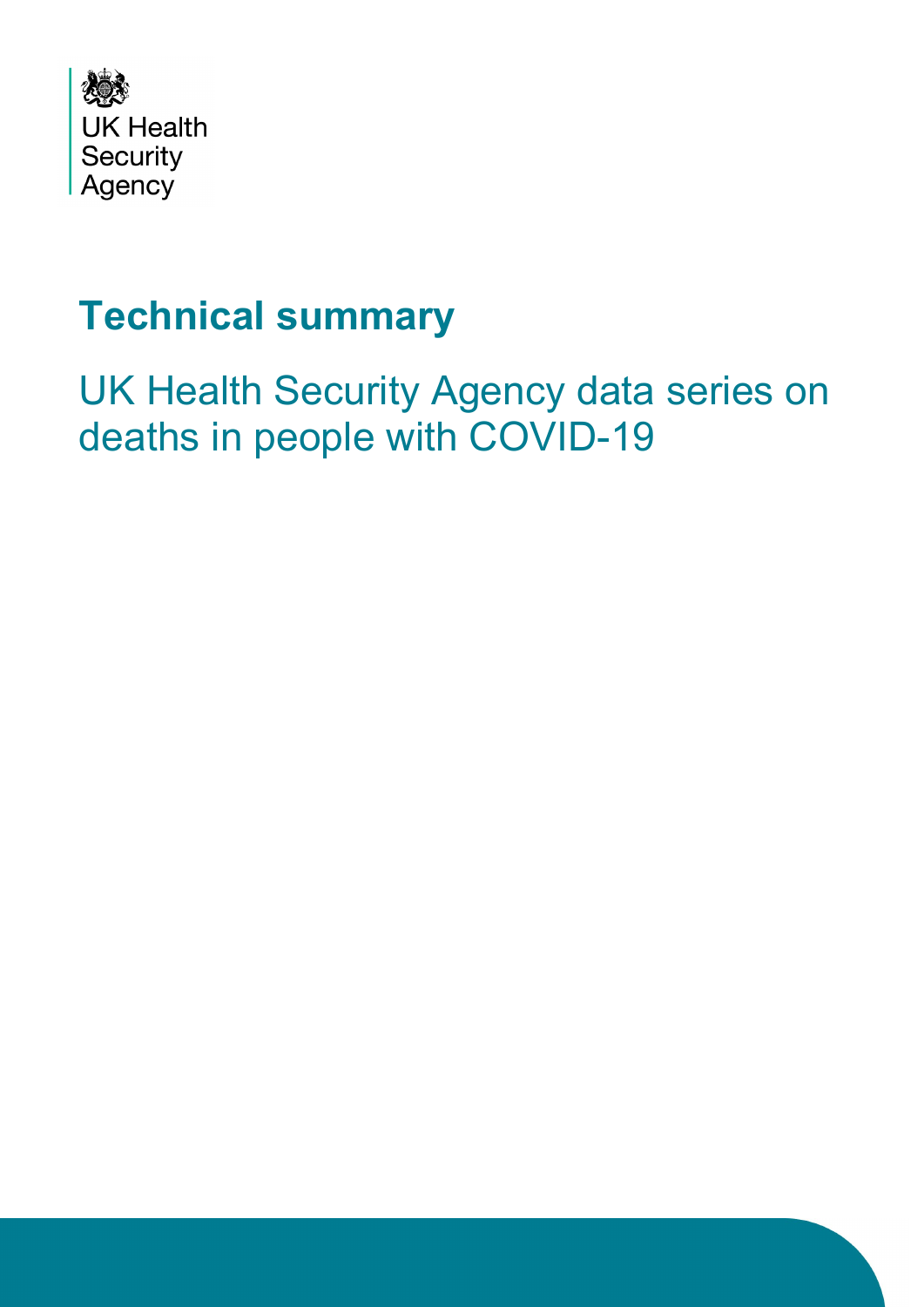

# **Technical summary**

UK Health Security Agency data series on deaths in people with COVID-19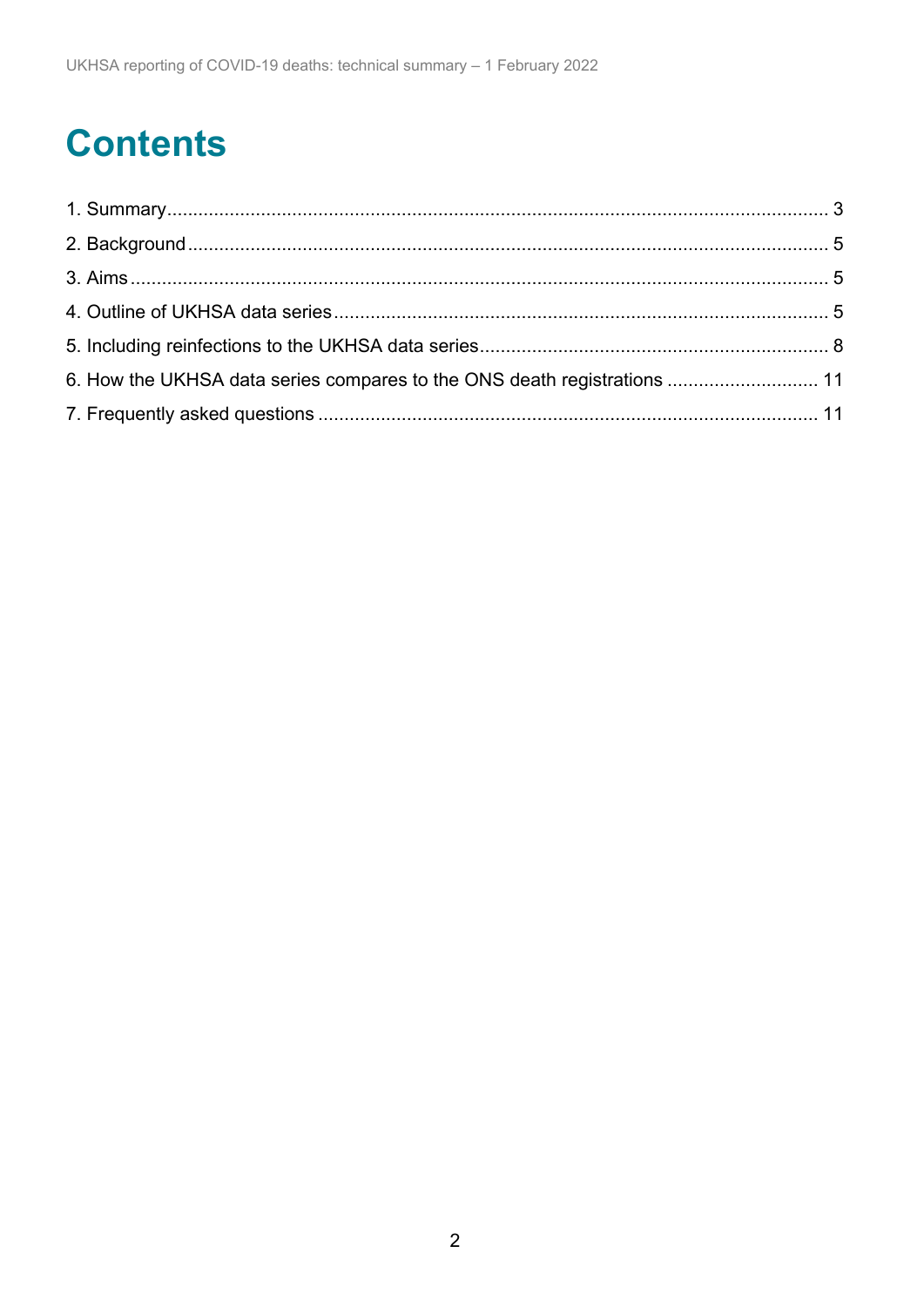# **Contents**

| 6. How the UKHSA data series compares to the ONS death registrations  11 |  |
|--------------------------------------------------------------------------|--|
|                                                                          |  |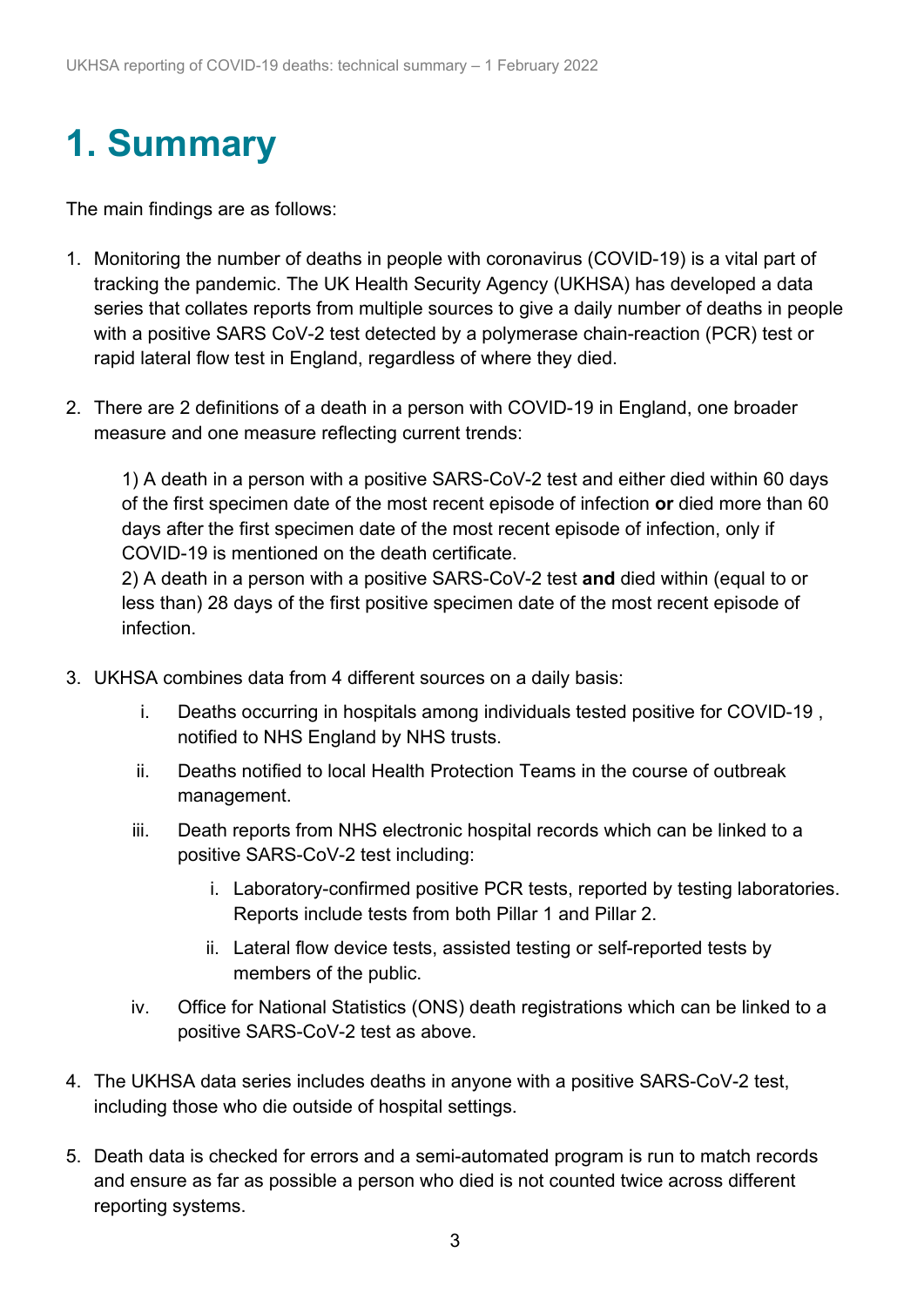# <span id="page-2-0"></span>**1. Summary**

The main findings are as follows:

- 1. Monitoring the number of deaths in people with coronavirus (COVID-19) is a vital part of tracking the pandemic. The UK Health Security Agency (UKHSA) has developed a data series that collates reports from multiple sources to give a daily number of deaths in people with a positive SARS CoV-2 test detected by a polymerase chain-reaction (PCR) test or rapid lateral flow test in England, regardless of where they died.
- 2. There are 2 definitions of a death in a person with COVID-19 in England, one broader measure and one measure reflecting current trends:

1) A death in a person with a positive SARS-CoV-2 test and either died within 60 days of the first specimen date of the most recent episode of infection **or** died more than 60 days after the first specimen date of the most recent episode of infection, only if COVID-19 is mentioned on the death certificate.

2) A death in a person with a positive SARS-CoV-2 test **and** died within (equal to or less than) 28 days of the first positive specimen date of the most recent episode of infection.

- 3. UKHSA combines data from 4 different sources on a daily basis:
	- i. Deaths occurring in hospitals among individuals tested positive for COVID-19 , notified to NHS England by NHS trusts.
	- ii. Deaths notified to local Health Protection Teams in the course of outbreak management.
	- iii. Death reports from NHS electronic hospital records which can be linked to a positive SARS-CoV-2 test including:
		- i. Laboratory-confirmed positive PCR tests, reported by testing laboratories. Reports include tests from both Pillar 1 and Pillar 2.
		- ii. Lateral flow device tests, assisted testing or self-reported tests by members of the public.
	- iv. Office for National Statistics (ONS) death registrations which can be linked to a positive SARS-CoV-2 test as above.
- 4. The UKHSA data series includes deaths in anyone with a positive SARS-CoV-2 test, including those who die outside of hospital settings.
- 5. Death data is checked for errors and a semi-automated program is run to match records and ensure as far as possible a person who died is not counted twice across different reporting systems.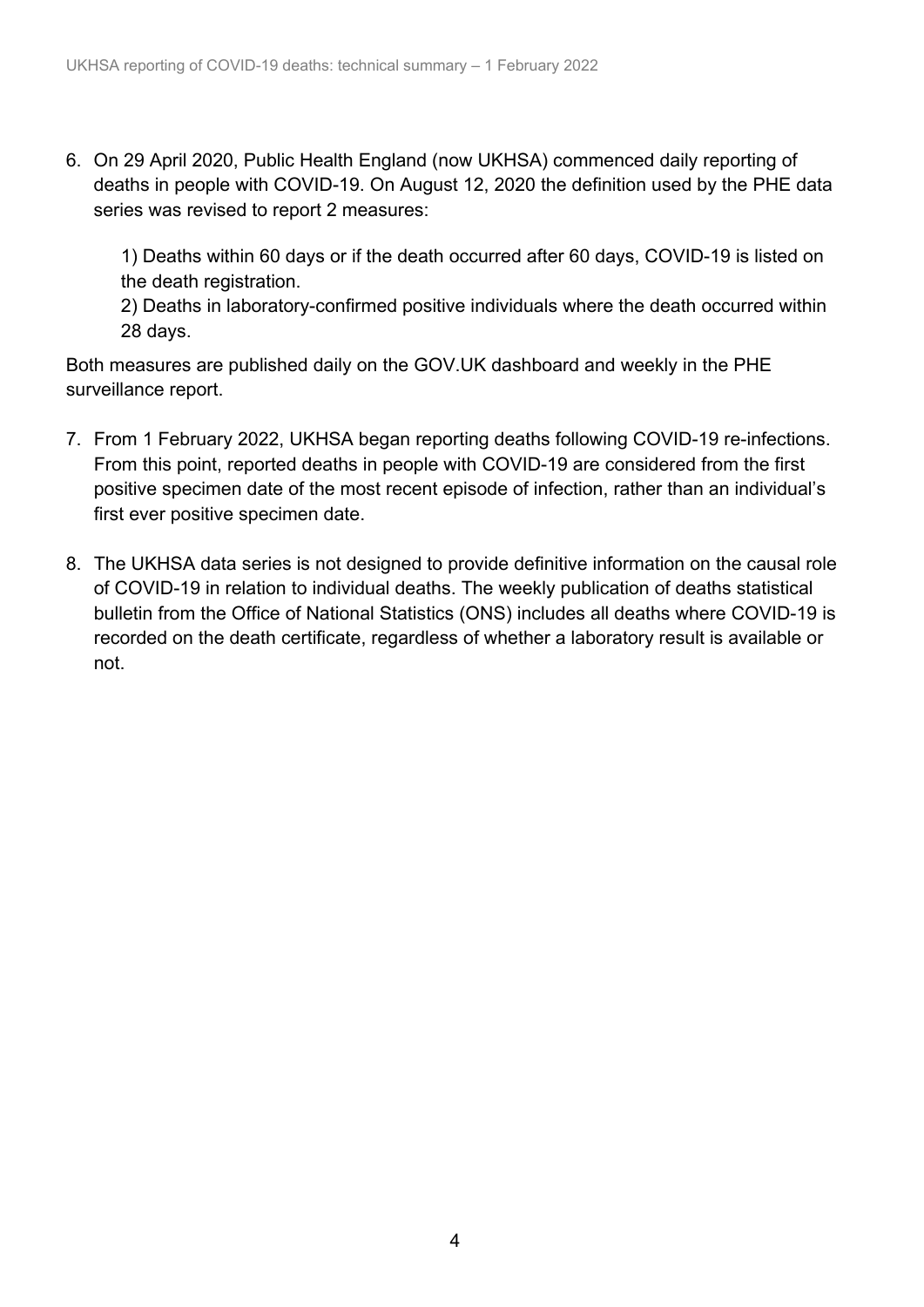6. On 29 April 2020, Public Health England (now UKHSA) commenced daily reporting of deaths in people with COVID-19. On August 12, 2020 the definition used by the PHE data series was revised to report 2 measures:

1) Deaths within 60 days or if the death occurred after 60 days, COVID-19 is listed on the death registration.

2) Deaths in laboratory-confirmed positive individuals where the death occurred within 28 days.

Both measures are published daily on the [GOV.UK](https://coronavirus.data.gov.uk/deaths) dashboard and weekly in the [PHE](https://www.gov.uk/government/statistics/national-flu-and-covid-19-surveillance-reports-2021-to-2022-season)  [surveillance report.](https://www.gov.uk/government/statistics/national-flu-and-covid-19-surveillance-reports-2021-to-2022-season)

- 7. From 1 February 2022, UKHSA began reporting deaths following COVID-19 re-infections. From this point, reported deaths in people with COVID-19 are considered from the first positive specimen date of the most recent episode of infection, rather than an individual's first ever positive specimen date.
- 8. The UKHSA data series is not designed to provide definitive information on the causal role of COVID-19 in relation to individual deaths. The weekly publication of deaths statistical bulletin from the [Office of National Statistics](https://www.ons.gov.uk/peoplepopulationandcommunity/birthsdeathsandmarriages/deaths/) (ONS) includes all deaths where COVID-19 is recorded on the death certificate, regardless of whether a laboratory result is available or not.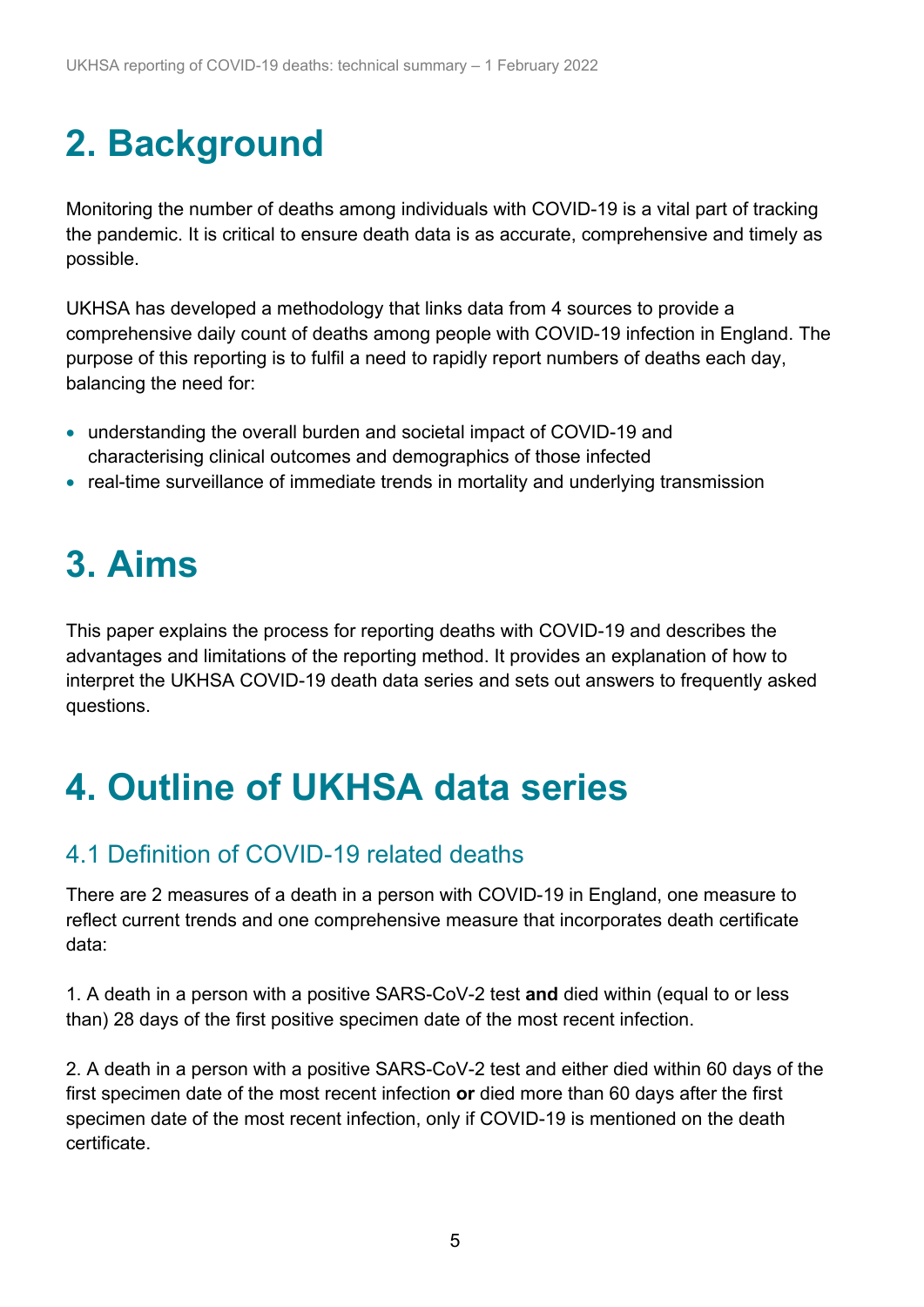# <span id="page-4-0"></span>**2. Background**

Monitoring the number of deaths among individuals with COVID-19 is a vital part of tracking the pandemic. It is critical to ensure death data is as accurate, comprehensive and timely as possible.

UKHSA has developed a methodology that links data from 4 sources to provide a comprehensive daily count of deaths among people with COVID-19 infection in England. The purpose of this reporting is to fulfil a need to rapidly report numbers of deaths each day, balancing the need for:

- understanding the overall burden and societal impact of COVID-19 and characterising clinical outcomes and demographics of those infected
- real-time surveillance of immediate trends in mortality and underlying transmission

# <span id="page-4-1"></span>**3. Aims**

This paper explains the process for reporting deaths with COVID-19 and describes the advantages and limitations of the reporting method. It provides an explanation of how to interpret the UKHSA COVID-19 death data series and sets out answers to frequently asked questions.

## <span id="page-4-2"></span>**4. Outline of UKHSA data series**

#### 4.1 Definition of COVID-19 related deaths

There are 2 measures of a death in a person with COVID-19 in England, one measure to reflect current trends and one comprehensive measure that incorporates death certificate data:

1. A death in a person with a positive SARS-CoV-2 test **and** died within (equal to or less than) 28 days of the first positive specimen date of the most recent infection.

2. A death in a person with a positive SARS-CoV-2 test and either died within 60 days of the first specimen date of the most recent infection **or** died more than 60 days after the first specimen date of the most recent infection, only if COVID-19 is mentioned on the death certificate.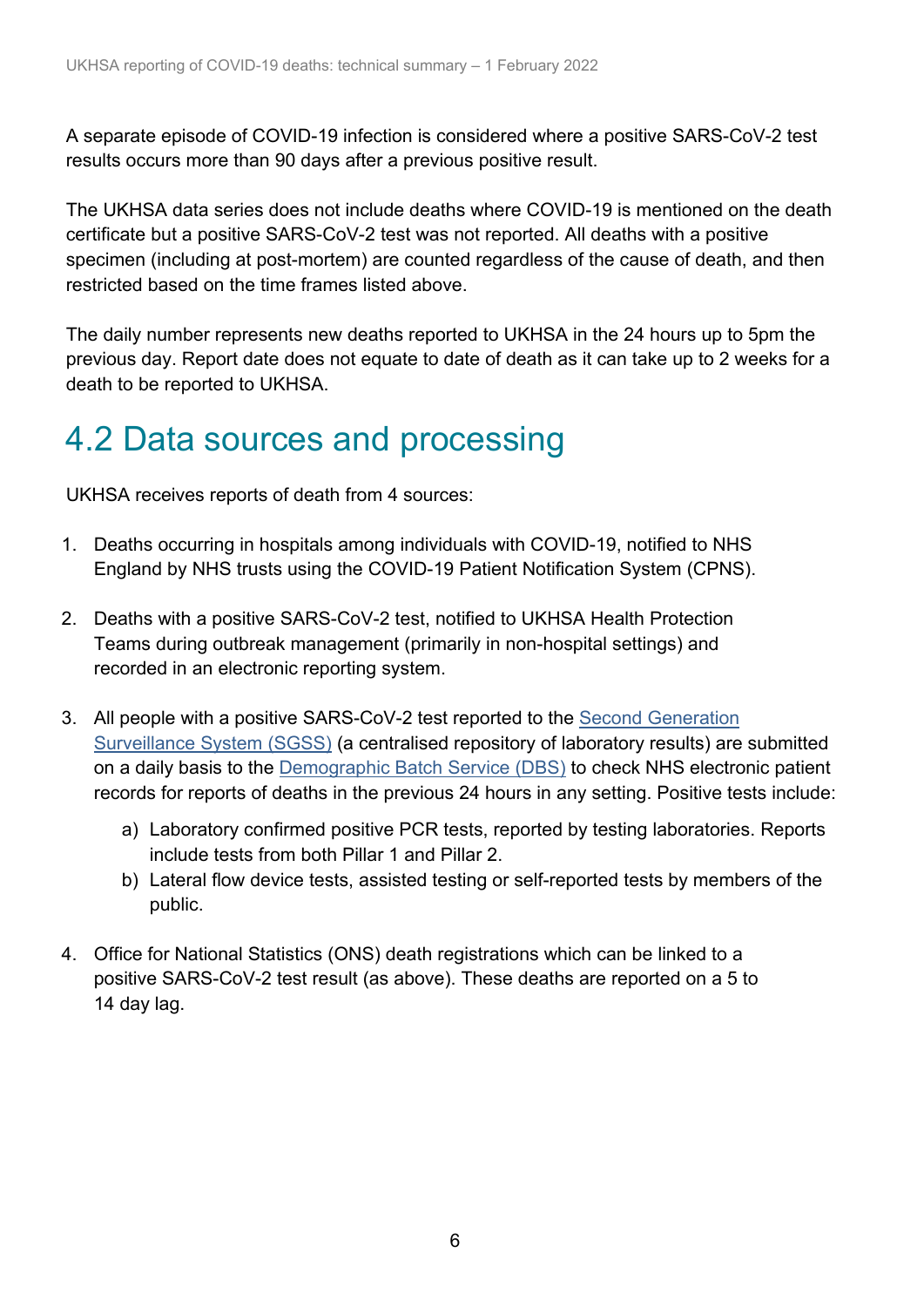A separate episode of COVID-19 infection is considered where a positive SARS-CoV-2 test results occurs more than 90 days after a previous positive result.

The UKHSA data series does not include deaths where COVID-19 is mentioned on the death certificate but a positive SARS-CoV-2 test was not reported. All deaths with a positive specimen (including at post-mortem) are counted regardless of the cause of death, and then restricted based on the time frames listed above.

The daily number represents new deaths reported to UKHSA in the 24 hours up to 5pm the previous day. Report date does not equate to date of death as it can take up to 2 weeks for a death to be reported to UKHSA.

### 4.2 Data sources and processing

UKHSA receives reports of death from 4 sources:

- 1. Deaths occurring in hospitals among individuals with COVID-19, notified to NHS England by NHS trusts using the COVID-19 Patient Notification System (CPNS).
- 2. Deaths with a positive SARS-CoV-2 test, notified to UKHSA Health Protection Teams during outbreak management (primarily in non-hospital settings) and recorded in an electronic reporting system.
- 3. All people with a positive SARS-CoV-2 test reported to the [Second Generation](https://assets.publishing.service.gov.uk/government/uploads/system/uploads/attachment_data/file/739854/PHE_Laboratory_Reporting_Guidelines.pdf)  [Surveillance System \(SGSS\)](https://assets.publishing.service.gov.uk/government/uploads/system/uploads/attachment_data/file/739854/PHE_Laboratory_Reporting_Guidelines.pdf) (a centralised repository of laboratory results) are submitted on a daily basis to the [Demographic Batch Service \(DBS\)](https://digital.nhs.uk/services/national-back-office-for-the-personal-demographics-service/demographics-batch-service-bureau) to check NHS electronic patient records for reports of deaths in the previous 24 hours in any setting. Positive tests include:
	- a) Laboratory confirmed positive PCR tests, reported by testing laboratories. Reports include tests from both Pillar 1 and Pillar 2.
	- b) Lateral flow device tests, assisted testing or self-reported tests by members of the public.
- 4. Office for National Statistics (ONS) death registrations which can be linked to a positive SARS-CoV-2 test result (as above). These deaths are reported on a 5 to 14 day lag.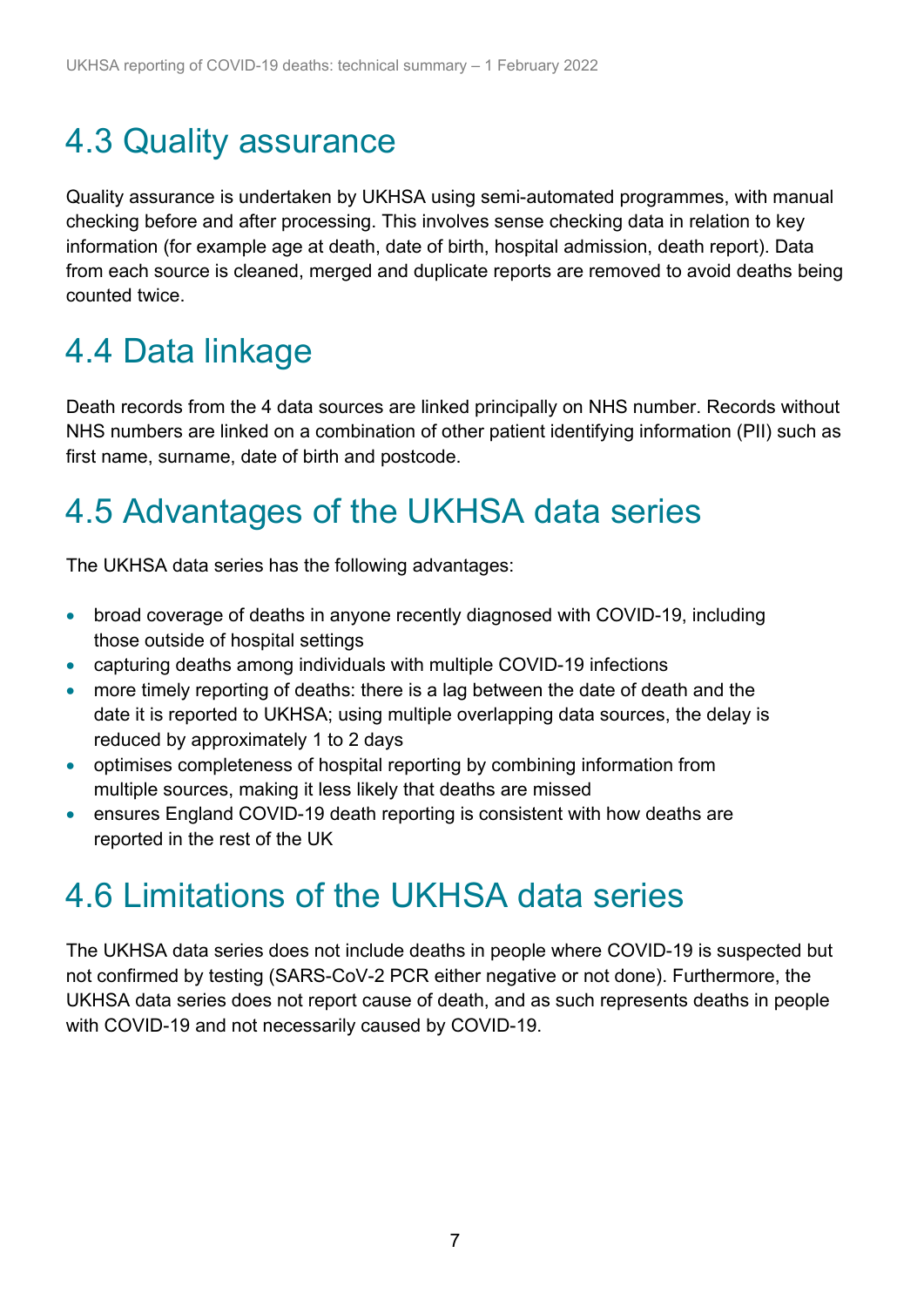## 4.3 Quality assurance

Quality assurance is undertaken by UKHSA using semi-automated programmes, with manual checking before and after processing. This involves sense checking data in relation to key information (for example age at death, date of birth, hospital admission, death report). Data from each source is cleaned, merged and duplicate reports are removed to avoid deaths being counted twice.

### 4.4 Data linkage

Death records from the 4 data sources are linked principally on NHS number. Records without NHS numbers are linked on a combination of other patient identifying information (PII) such as first name, surname, date of birth and postcode.

## 4.5 Advantages of the UKHSA data series

The UKHSA data series has the following advantages:

- broad coverage of deaths in anyone recently diagnosed with COVID-19, including those outside of hospital settings
- capturing deaths among individuals with multiple COVID-19 infections
- more timely reporting of deaths: there is a lag between the date of death and the date it is reported to UKHSA; using multiple overlapping data sources, the delay is reduced by approximately 1 to 2 days
- optimises completeness of hospital reporting by combining information from multiple sources, making it less likely that deaths are missed
- ensures England COVID-19 death reporting is consistent with how deaths are reported in the rest of the UK

### 4.6 Limitations of the UKHSA data series

The UKHSA data series does not include deaths in people where COVID-19 is suspected but not confirmed by testing (SARS-CoV-2 PCR either negative or not done). Furthermore, the UKHSA data series does not report cause of death, and as such represents deaths in people with COVID-19 and not necessarily caused by COVID-19.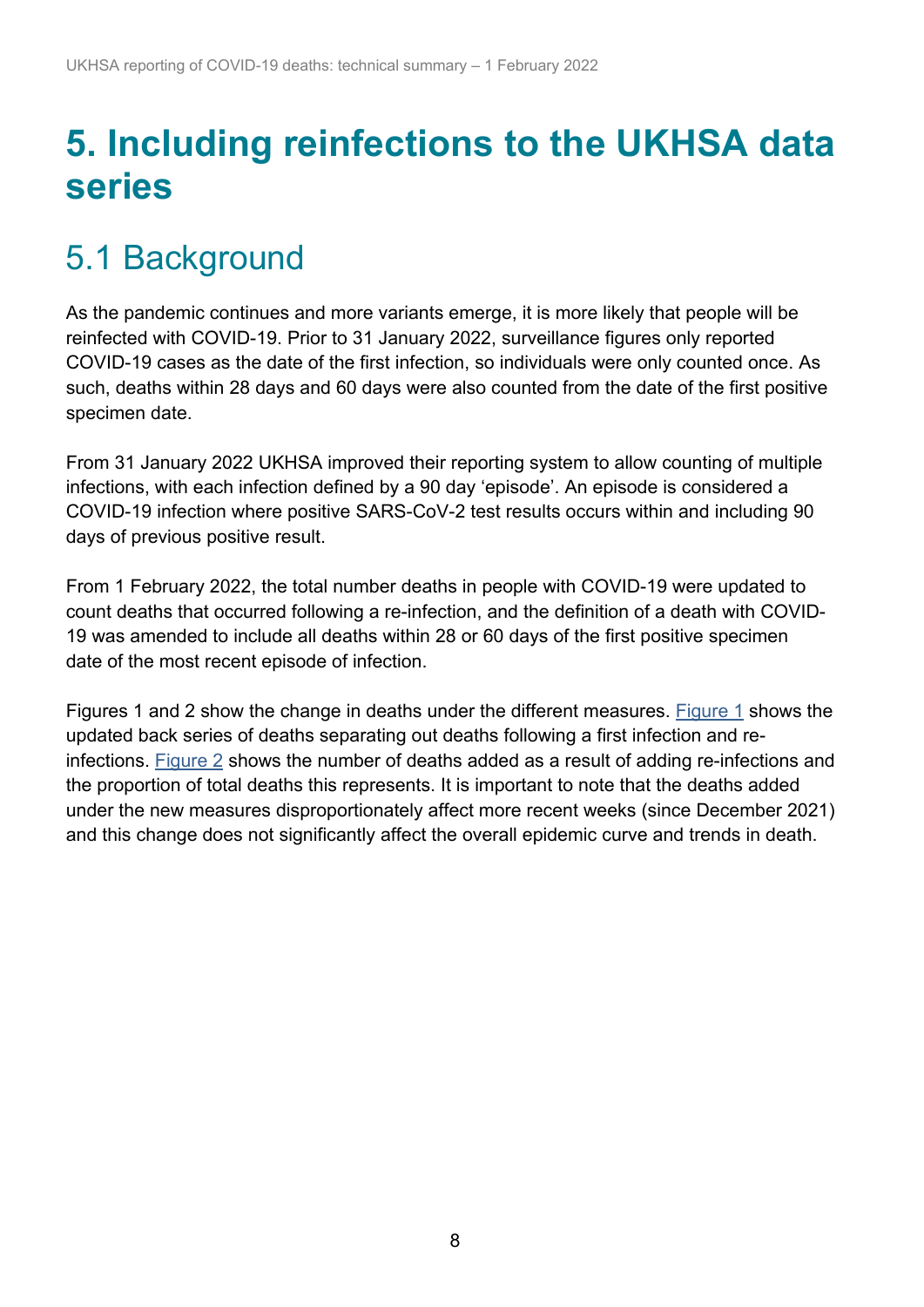## <span id="page-7-0"></span>**5. Including reinfections to the UKHSA data series**

## 5.1 Background

As the pandemic continues and more variants emerge, it is more likely that people will be reinfected with COVID-19. Prior to 31 January 2022, surveillance figures only reported COVID-19 cases as the date of the first infection, so individuals were only counted once. As such, deaths within 28 days and 60 days were also counted from the date of the first positive specimen date.

From 31 January 2022 UKHSA improved their reporting system to allow counting of multiple infections, with each infection defined by a 90 day 'episode'. An episode is considered a COVID-19 infection where positive SARS-CoV-2 test results occurs within and including 90 days of previous positive result.

From 1 February 2022, the total number deaths in people with COVID-19 were updated to count deaths that occurred following a re-infection, and the definition of a death with COVID-19 was amended to include all deaths within 28 or 60 days of the first positive specimen date of the most recent episode of infection.

Figures 1 and 2 show the change in deaths under the different measures. [Figure 1](#page-8-0) shows the updated back series of deaths separating out deaths following a first infection and reinfections. [Figure 2](#page-9-0) shows the number of deaths added as a result of adding re-infections and the proportion of total deaths this represents. It is important to note that the deaths added under the new measures disproportionately affect more recent weeks (since December 2021) and this change does not significantly affect the overall epidemic curve and trends in death.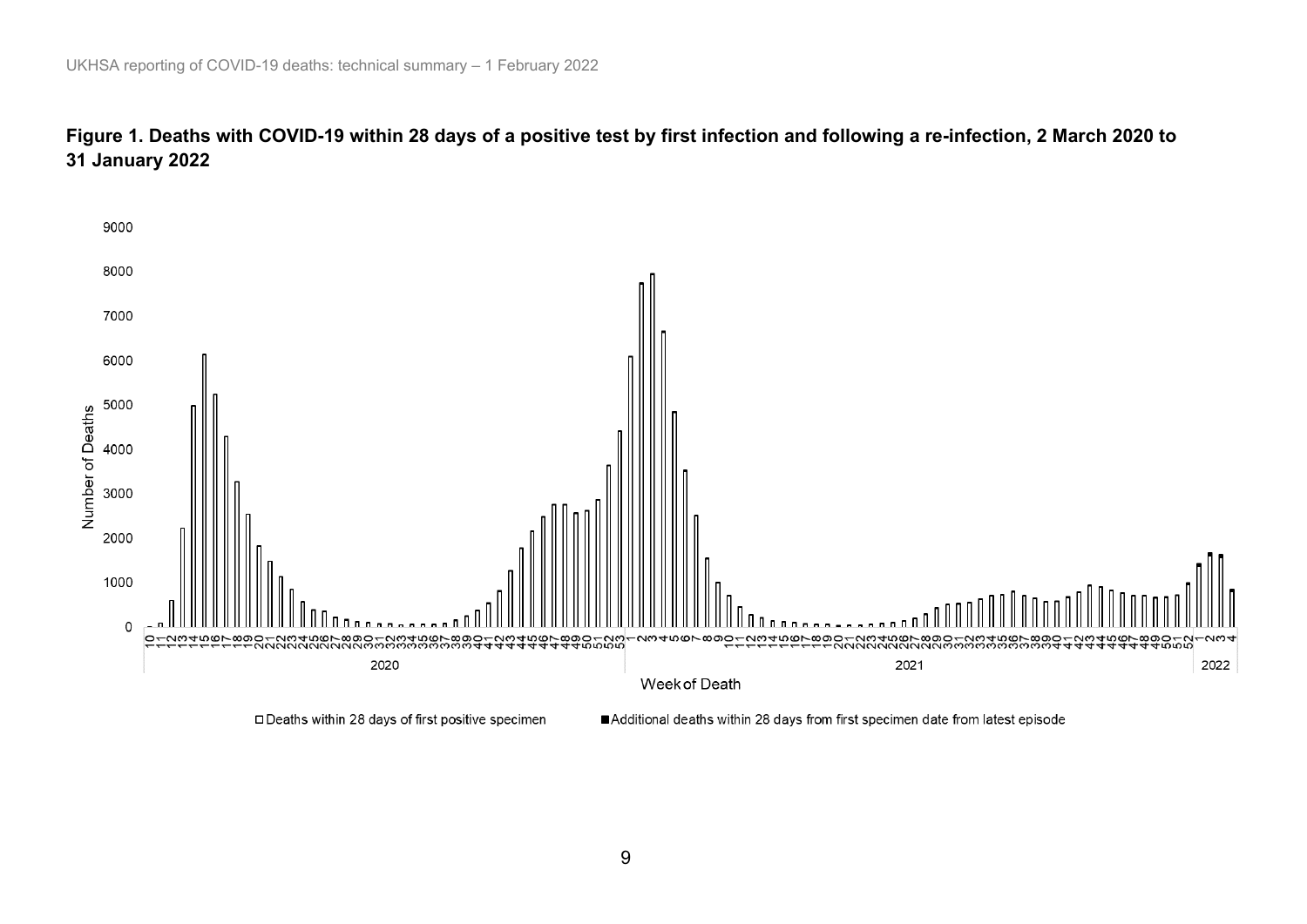

#### **Figure 1. Deaths with COVID-19 within 28 days of a positive test by first infection and following a re-infection, 2 March 2020 to 31 January 2022**

<span id="page-8-0"></span>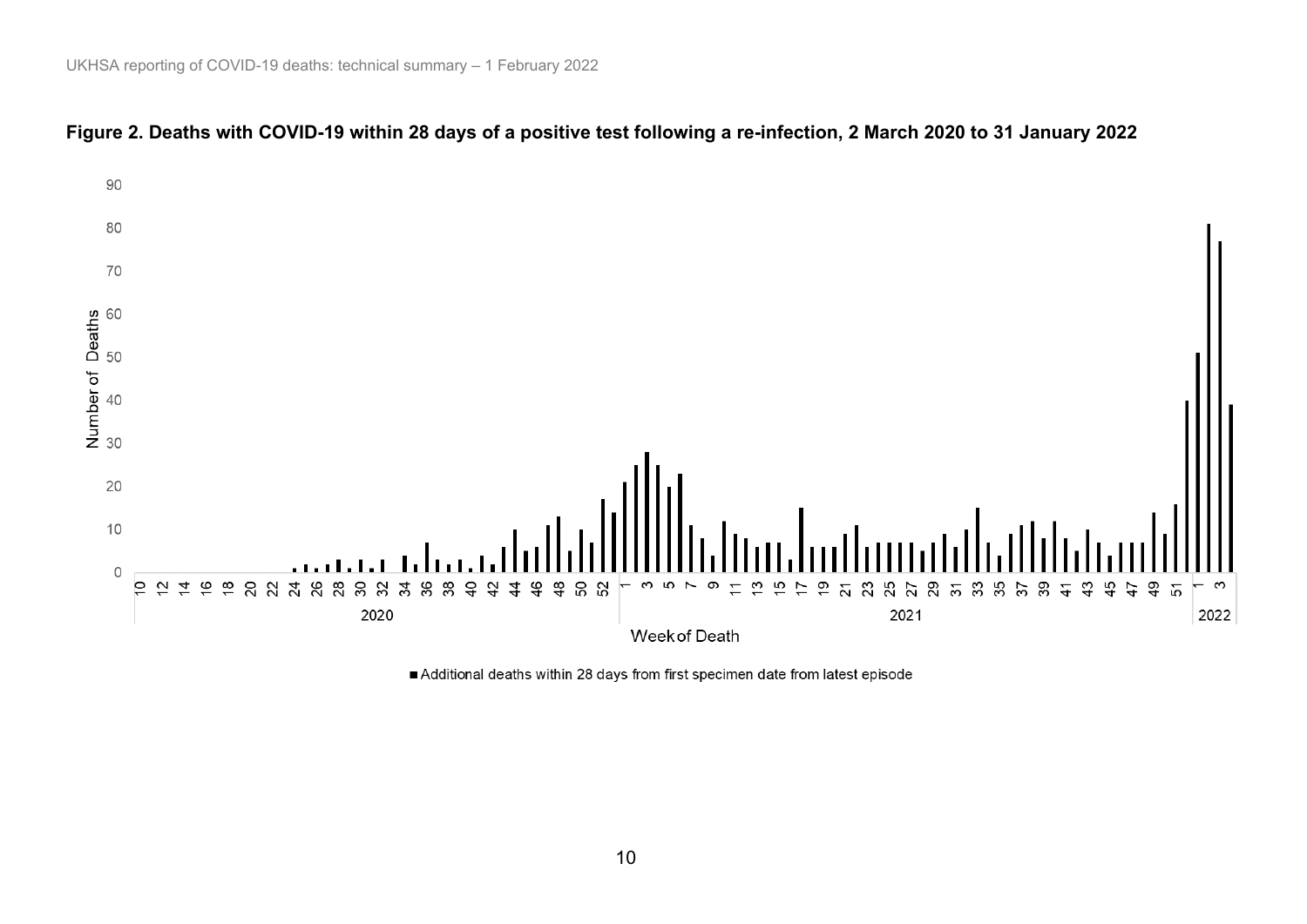<span id="page-9-0"></span>

#### **Figure 2. Deaths with COVID-19 within 28 days of a positive test following a re-infection, 2 March 2020 to 31 January 2022**

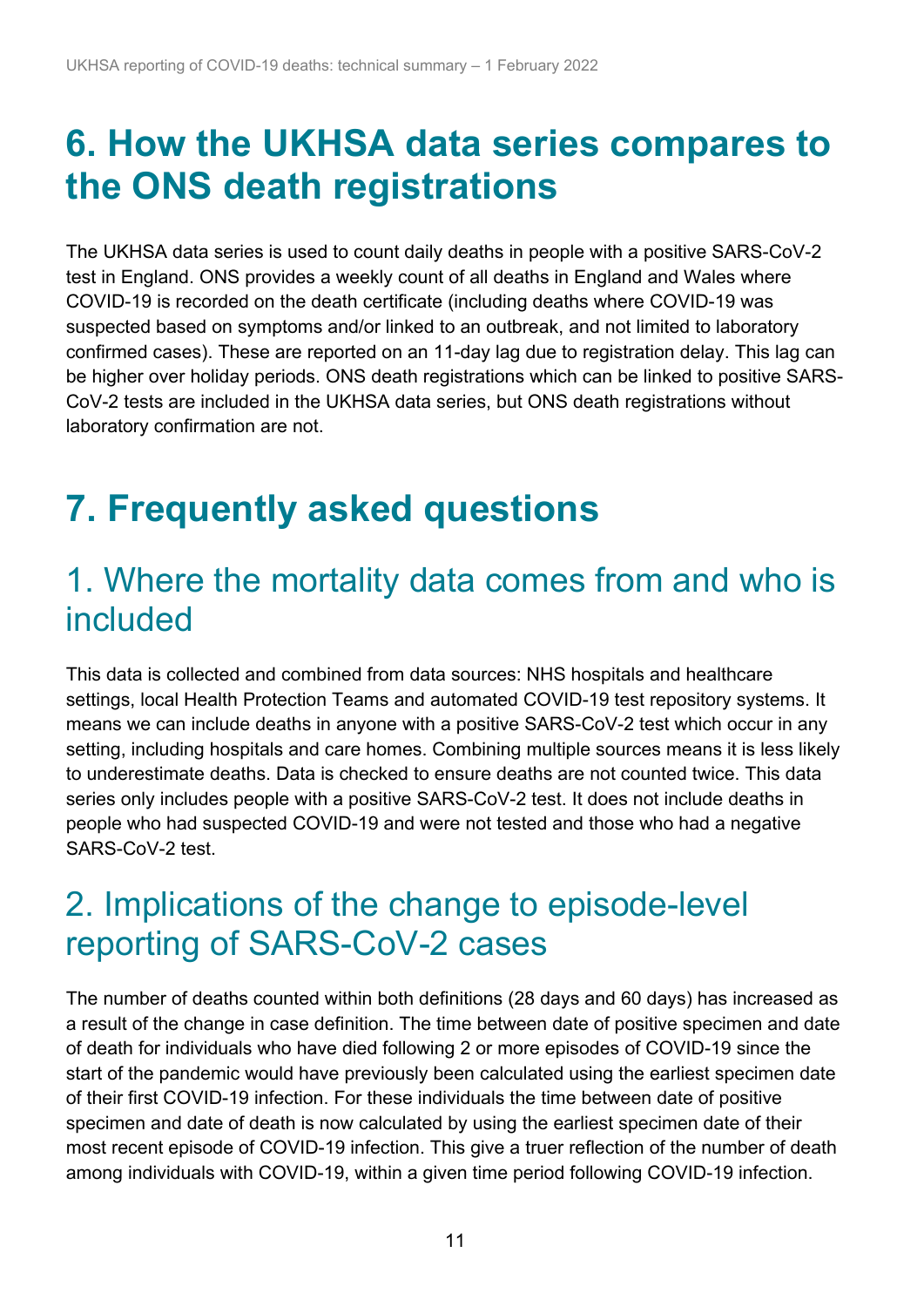## <span id="page-10-0"></span>**6. How the UKHSA data series compares to the ONS death registrations**

The UKHSA data series is used to count daily deaths in people with a positive SARS-CoV-2 test in England. ONS provides a weekly count of all deaths in England and Wales where COVID-19 is recorded on the death certificate (including deaths where COVID-19 was suspected based on symptoms and/or linked to an outbreak, and not limited to laboratory confirmed cases). These are reported on an 11-day lag due to registration delay. This lag can be higher over holiday periods. ONS death registrations which can be linked to positive SARS-CoV-2 tests are included in the UKHSA data series, but ONS death registrations without laboratory confirmation are not.

## <span id="page-10-1"></span>**7. Frequently asked questions**

#### 1. Where the mortality data comes from and who is included

This data is collected and combined from data sources: NHS hospitals and healthcare settings, local Health Protection Teams and automated COVID-19 test repository systems. It means we can include deaths in anyone with a positive SARS-CoV-2 test which occur in any setting, including hospitals and care homes. Combining multiple sources means it is less likely to underestimate deaths. Data is checked to ensure deaths are not counted twice. This data series only includes people with a positive SARS-CoV-2 test. It does not include deaths in people who had suspected COVID-19 and were not tested and those who had a negative SARS-CoV-2 test.

#### 2. Implications of the change to episode-level reporting of SARS-CoV-2 cases

The number of deaths counted within both definitions (28 days and 60 days) has increased as a result of the change in case definition. The time between date of positive specimen and date of death for individuals who have died following 2 or more episodes of COVID-19 since the start of the pandemic would have previously been calculated using the earliest specimen date of their first COVID-19 infection. For these individuals the time between date of positive specimen and date of death is now calculated by using the earliest specimen date of their most recent episode of COVID-19 infection. This give a truer reflection of the number of death among individuals with COVID-19, within a given time period following COVID-19 infection.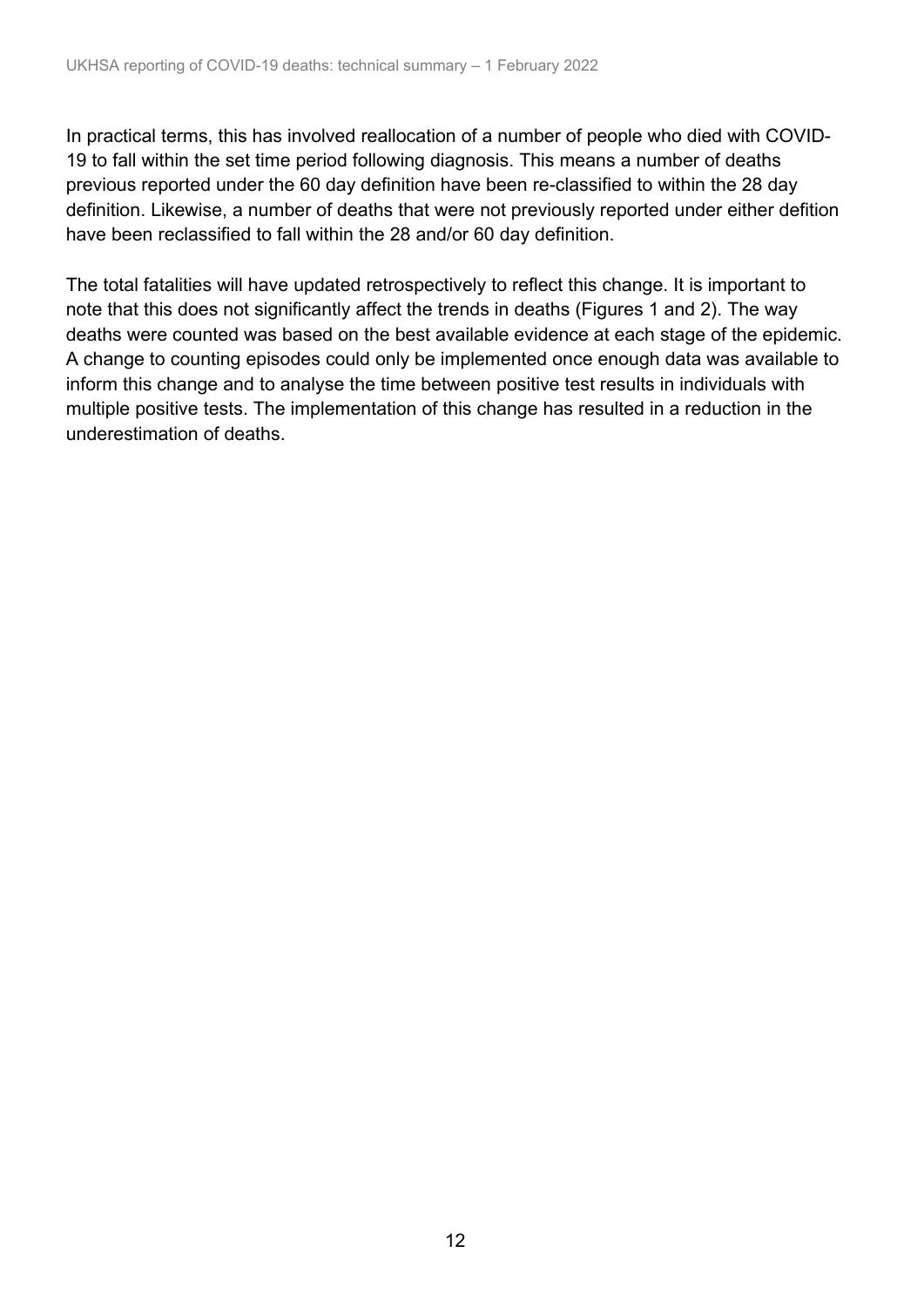In practical terms, this has involved reallocation of a number of people who died with COVID-19 to fall within the set time period following diagnosis. This means a number of deaths previous reported under the 60 day definition have been re-classified to within the 28 day definition. Likewise, a number of deaths that were not previously reported under either defition have been reclassified to fall within the 28 and/or 60 day definition.

The total fatalities will have updated retrospectively to reflect this change. It is important to note that this does not significantly affect the trends in deaths (Figures 1 and 2). The way deaths were counted was based on the best available evidence at each stage of the epidemic. A change to counting episodes could only be implemented once enough data was available to inform this change and to analyse the time between positive test results in individuals with multiple positive tests. The implementation of this change has resulted in a reduction in the underestimation of deaths.